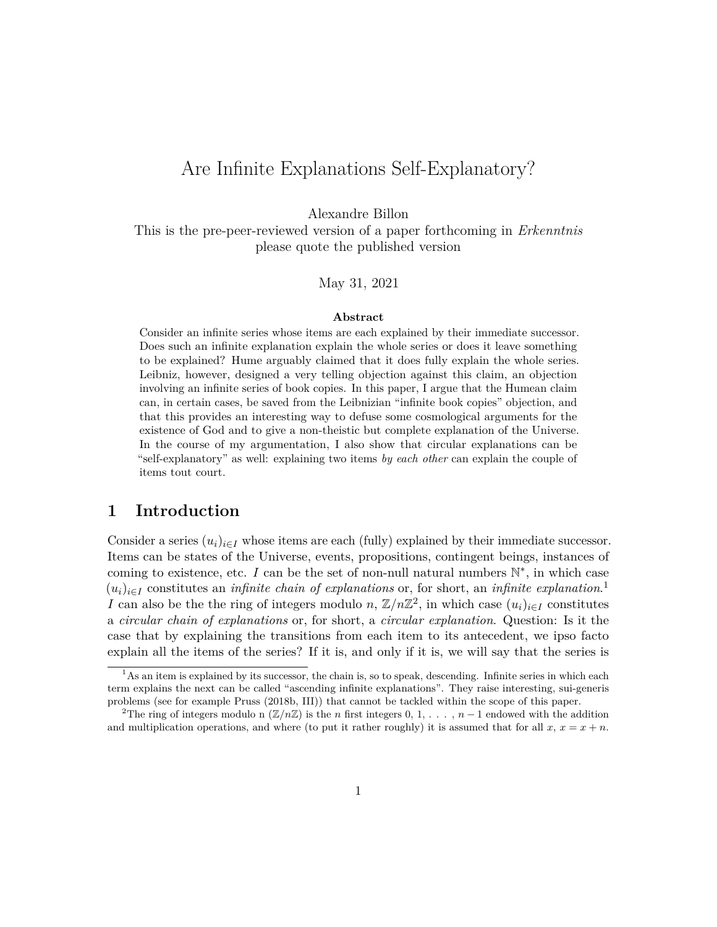# Are Infinite Explanations Self-Explanatory?

Alexandre Billon

This is the pre-peer-reviewed version of a paper forthcoming in *Erkenntnis* please quote the published version

May 31, 2021

#### **Abstract**

Consider an infinite series whose items are each explained by their immediate successor. Does such an infinite explanation explain the whole series or does it leave something to be explained? Hume arguably claimed that it does fully explain the whole series. Leibniz, however, designed a very telling objection against this claim, an objection involving an infinite series of book copies. In this paper, I argue that the Humean claim can, in certain cases, be saved from the Leibnizian "infinite book copies" objection, and that this provides an interesting way to defuse some cosmological arguments for the existence of God and to give a non-theistic but complete explanation of the Universe. In the course of my argumentation, I also show that circular explanations can be "self-explanatory" as well: explaining two items *by each other* can explain the couple of items tout court.

#### **1 Introduction**

Consider a series  $(u_i)_{i \in I}$  whose items are each (fully) explained by their immediate successor. Items can be states of the Universe, events, propositions, contingent beings, instances of coming to existence, etc.  $I$  can be the set of non-null natural numbers  $\mathbb{N}^*$ , in which case  $(u_i)_{i \in I}$  constitutes an *infinite chain of explanations* or, for short, an *infinite explanation*.<sup>[1](#page-0-0)</sup> *I* can also be the the ring of integers modulo *n*,  $\mathbb{Z}/n\mathbb{Z}^2$  $\mathbb{Z}/n\mathbb{Z}^2$ , in which case  $(u_i)_{i \in I}$  constitutes a *circular chain of explanations* or, for short, a *circular explanation*. Question: Is it the case that by explaining the transitions from each item to its antecedent, we ipso facto explain all the items of the series? If it is, and only if it is, we will say that the series is

<span id="page-0-0"></span><sup>&</sup>lt;sup>1</sup>As an item is explained by its successor, the chain is, so to speak, descending. Infinite series in which each term explains the next can be called "ascending infinite explanations". They raise interesting, sui-generis problems (see for example [Pruss](#page-19-0) [\(2018b,](#page-19-0) III)) that cannot be tackled within the scope of this paper.

<span id="page-0-1"></span><sup>&</sup>lt;sup>2</sup>The ring of integers modulo n ( $\mathbb{Z}/n\mathbb{Z}$ ) is the *n* first integers 0, 1, . . . , *n* − 1 endowed with the addition and multiplication operations, and where (to put it rather roughly) it is assumed that for all  $x, x = x + n$ .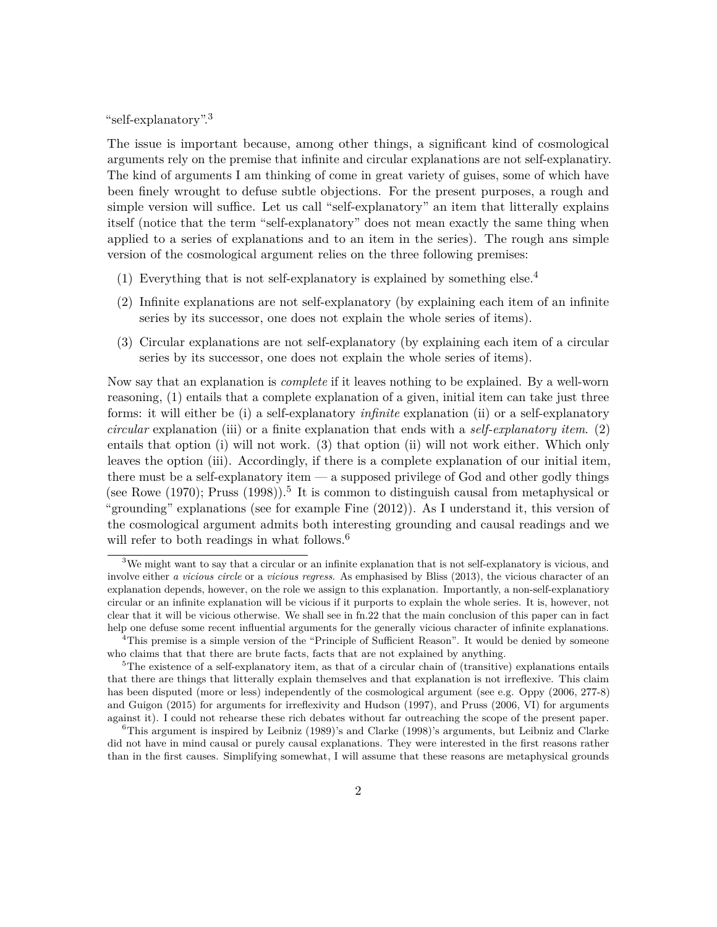"self-explanatory".[3](#page-1-0)

The issue is important because, among other things, a significant kind of cosmological arguments rely on the premise that infinite and circular explanations are not self-explanatiry. The kind of arguments I am thinking of come in great variety of guises, some of which have been finely wrought to defuse subtle objections. For the present purposes, a rough and simple version will suffice. Let us call "self-explanatory" an item that litterally explains itself (notice that the term "self-explanatory" does not mean exactly the same thing when applied to a series of explanations and to an item in the series). The rough ans simple version of the cosmological argument relies on the three following premises:

- (1) Everything that is not self-explanatory is explained by something else.<sup>[4](#page-1-1)</sup>
- (2) Infinite explanations are not self-explanatory (by explaining each item of an infinite series by its successor, one does not explain the whole series of items).
- (3) Circular explanations are not self-explanatory (by explaining each item of a circular series by its successor, one does not explain the whole series of items).

Now say that an explanation is *complete* if it leaves nothing to be explained. By a well-worn reasoning, (1) entails that a complete explanation of a given, initial item can take just three forms: it will either be (i) a self-explanatory *infinite* explanation (ii) or a self-explanatory *circular* explanation (iii) or a finite explanation that ends with a *self-explanatory item*. (2) entails that option (i) will not work. (3) that option (ii) will not work either. Which only leaves the option (iii). Accordingly, if there is a complete explanation of our initial item, there must be a self-explanatory item — a supposed privilege of God and other godly things (see [Rowe](#page-20-0)  $(1970)$ ; [Pruss](#page-19-1)  $(1998)$ ).<sup>[5](#page-1-2)</sup> It is common to distinguish causal from metaphysical or "grounding" explanations (see for example [Fine](#page-19-2) [\(2012\)](#page-19-2)). As I understand it, this version of the cosmological argument admits both interesting grounding and causal readings and we will refer to both readings in what follows.<sup>[6](#page-1-3)</sup>

<span id="page-1-0"></span><sup>3</sup>We might want to say that a circular or an infinite explanation that is not self-explanatory is vicious, and involve either *a vicious circle* or a *vicious regress*. As emphasised by [Bliss](#page-18-0) [\(2013\)](#page-18-0), the vicious character of an explanation depends, however, on the role we assign to this explanation. Importantly, a non-self-explanatiory circular or an infinite explanation will be vicious if it purports to explain the whole series. It is, however, not clear that it will be vicious otherwise. We shall see in fn[.22](#page-18-1) that the main conclusion of this paper can in fact help one defuse some recent influential arguments for the generally vicious character of infinite explanations.

<span id="page-1-1"></span><sup>&</sup>lt;sup>4</sup>This premise is a simple version of the "Principle of Sufficient Reason". It would be denied by someone who claims that that there are brute facts, facts that are not explained by anything.

<span id="page-1-2"></span> ${}^{5}$ The existence of a self-explanatory item, as that of a circular chain of (transitive) explanations entails that there are things that litterally explain themselves and that explanation is not irreflexive. This claim has been disputed (more or less) independently of the cosmological argument (see e.g. [Oppy](#page-19-3) [\(2006,](#page-19-3) 277-8) and [Guigon](#page-19-4) [\(2015\)](#page-19-4) for arguments for irreflexivity and [Hudson](#page-19-5) [\(1997\)](#page-19-5), and [Pruss](#page-19-6) [\(2006,](#page-19-6) VI) for arguments against it). I could not rehearse these rich debates without far outreaching the scope of the present paper.

<span id="page-1-3"></span> ${}^{6}$ This argument is inspired by [Leibniz](#page-19-7) [\(1989\)](#page-19-7)'s and [Clarke](#page-18-2) [\(1998\)](#page-18-2)'s arguments, but Leibniz and Clarke did not have in mind causal or purely causal explanations. They were interested in the first reasons rather than in the first causes. Simplifying somewhat, I will assume that these reasons are metaphysical grounds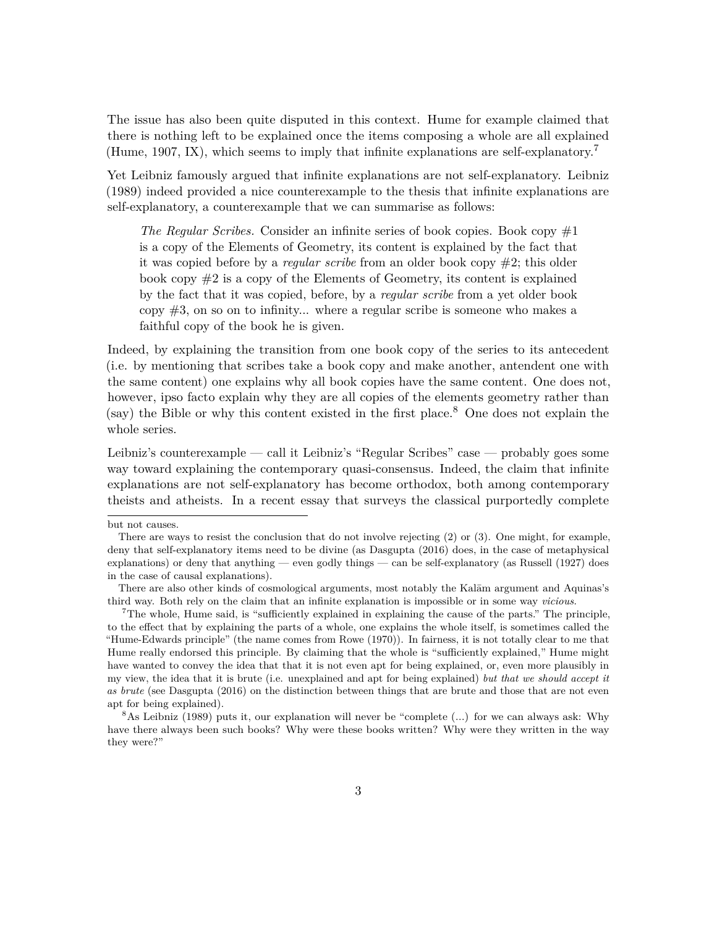The issue has also been quite disputed in this context. Hume for example claimed that there is nothing left to be explained once the items composing a whole are all explained [\(Hume, 1907,](#page-19-8) IX), which seems to imply that infinite explanations are self-explanatory.[7](#page-2-0)

Yet Leibniz famously argued that infinite explanations are not self-explanatory. [Leibniz](#page-19-7) [\(1989\)](#page-19-7) indeed provided a nice counterexample to the thesis that infinite explanations are self-explanatory, a counterexample that we can summarise as follows:

*The Regular Scribes.* Consider an infinite series of book copies. Book copy  $\#1$ is a copy of the Elements of Geometry, its content is explained by the fact that it was copied before by a *regular scribe* from an older book copy #2; this older book copy  $\#2$  is a copy of the Elements of Geometry, its content is explained by the fact that it was copied, before, by a *regular scribe* from a yet older book copy  $\#3$ , on so on to infinity... where a regular scribe is someone who makes a faithful copy of the book he is given.

Indeed, by explaining the transition from one book copy of the series to its antecedent (i.e. by mentioning that scribes take a book copy and make another, antendent one with the same content) one explains why all book copies have the same content. One does not, however, ipso facto explain why they are all copies of the elements geometry rather than (say) the Bible or why this content existed in the first place.<sup>[8](#page-2-1)</sup> One does not explain the whole series.

Leibniz's counterexample — call it Leibniz's "Regular Scribes" case — probably goes some way toward explaining the contemporary quasi-consensus. Indeed, the claim that infinite explanations are not self-explanatory has become orthodox, both among contemporary theists and atheists. In a recent essay that surveys the classical purportedly complete

but not causes.

There are ways to resist the conclusion that do not involve rejecting (2) or (3). One might, for example, deny that self-explanatory items need to be divine (as [Dasgupta](#page-18-3) [\(2016\)](#page-18-3) does, in the case of metaphysical explanations) or deny that anything — even godly things — can be self-explanatory (as [Russell](#page-20-1)  $(1927)$  does in the case of causal explanations).

There are also other kinds of cosmological arguments, most notably the Kalam argument and Aquinas's third way. Both rely on the claim that an infinite explanation is impossible or in some way *vicious*.

<span id="page-2-0"></span><sup>7</sup>The whole, Hume said, is "sufficiently explained in explaining the cause of the parts." The principle, to the effect that by explaining the parts of a whole, one explains the whole itself, is sometimes called the "Hume-Edwards principle" (the name comes from [Rowe](#page-20-0) [\(1970\)](#page-20-0)). In fairness, it is not totally clear to me that Hume really endorsed this principle. By claiming that the whole is "sufficiently explained," Hume might have wanted to convey the idea that that it is not even apt for being explained, or, even more plausibly in my view, the idea that it is brute (i.e. unexplained and apt for being explained) *but that we should accept it as brute* (see [Dasgupta](#page-18-3) [\(2016\)](#page-18-3) on the distinction between things that are brute and those that are not even apt for being explained).

<span id="page-2-1"></span><sup>&</sup>lt;sup>8</sup>As [Leibniz](#page-19-7) [\(1989\)](#page-19-7) puts it, our explanation will never be "complete  $(\ldots)$  for we can always ask: Why have there always been such books? Why were these books written? Why were they written in the way they were?"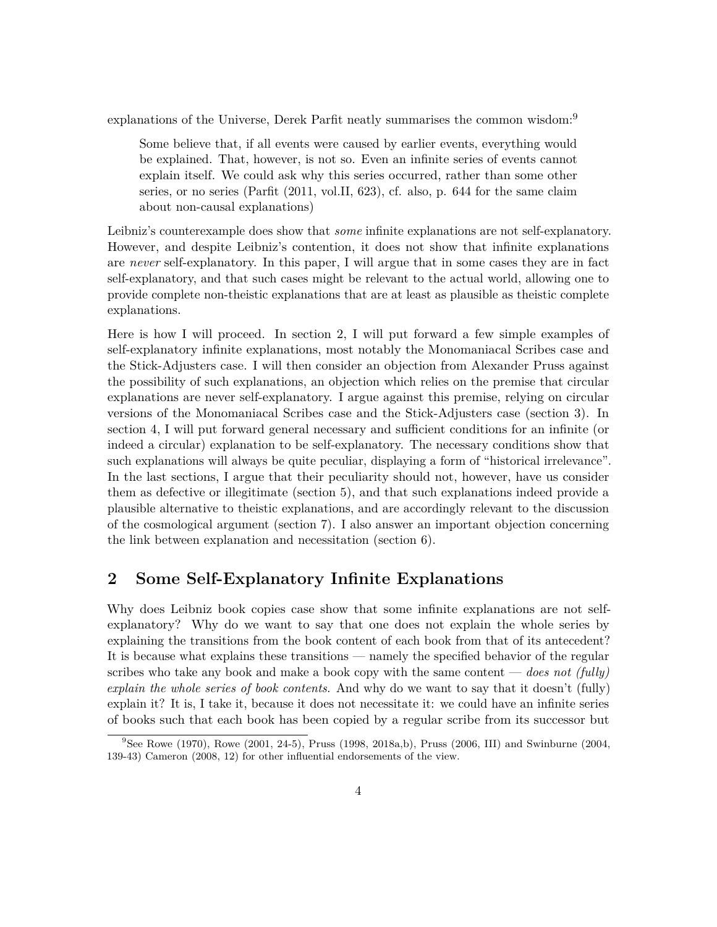explanations of the Universe, Derek Parfit neatly summarises the common wisdom:<sup>[9](#page-3-0)</sup>

Some believe that, if all events were caused by earlier events, everything would be explained. That, however, is not so. Even an infinite series of events cannot explain itself. We could ask why this series occurred, rather than some other series, or no series [\(Parfit](#page-19-9) [\(2011,](#page-19-9) vol.II, 623), cf. also, p. 644 for the same claim about non-causal explanations)

Leibniz's counterexample does show that *some* infinite explanations are not self-explanatory. However, and despite Leibniz's contention, it does not show that infinite explanations are *never* self-explanatory. In this paper, I will argue that in some cases they are in fact self-explanatory, and that such cases might be relevant to the actual world, allowing one to provide complete non-theistic explanations that are at least as plausible as theistic complete explanations.

Here is how I will proceed. In section [2,](#page-3-1) I will put forward a few simple examples of self-explanatory infinite explanations, most notably the Monomaniacal Scribes case and the Stick-Adjusters case. I will then consider an objection from Alexander Pruss against the possibility of such explanations, an objection which relies on the premise that circular explanations are never self-explanatory. I argue against this premise, relying on circular versions of the Monomaniacal Scribes case and the Stick-Adjusters case (section [3\)](#page-7-0). In section [4,](#page-10-0) I will put forward general necessary and sufficient conditions for an infinite (or indeed a circular) explanation to be self-explanatory. The necessary conditions show that such explanations will always be quite peculiar, displaying a form of "historical irrelevance". In the last sections, I argue that their peculiarity should not, however, have us consider them as defective or illegitimate (section [5\)](#page-12-0), and that such explanations indeed provide a plausible alternative to theistic explanations, and are accordingly relevant to the discussion of the cosmological argument (section [7\)](#page-15-0). I also answer an important objection concerning the link between explanation and necessitation (section [6\)](#page-13-0).

# <span id="page-3-1"></span>**2 Some Self-Explanatory Infinite Explanations**

Why does Leibniz book copies case show that some infinite explanations are not selfexplanatory? Why do we want to say that one does not explain the whole series by explaining the transitions from the book content of each book from that of its antecedent? It is because what explains these transitions — namely the specified behavior of the regular scribes who take any book and make a book copy with the same content — *does not (fully) explain the whole series of book contents*. And why do we want to say that it doesn't (fully) explain it? It is, I take it, because it does not necessitate it: we could have an infinite series of books such that each book has been copied by a regular scribe from its successor but

<span id="page-3-0"></span> $9$ See [Rowe](#page-20-2) [\(1970\)](#page-20-0), Rowe [\(2001,](#page-20-2) 24-5), [Pruss](#page-19-6) [\(1998,](#page-19-1) [2018a,](#page-19-10)[b\)](#page-19-0), Pruss [\(2006,](#page-19-6) III) and [Swinburne](#page-20-3) [\(2004,](#page-20-3) 139-43) [Cameron](#page-18-4) [\(2008,](#page-18-4) 12) for other influential endorsements of the view.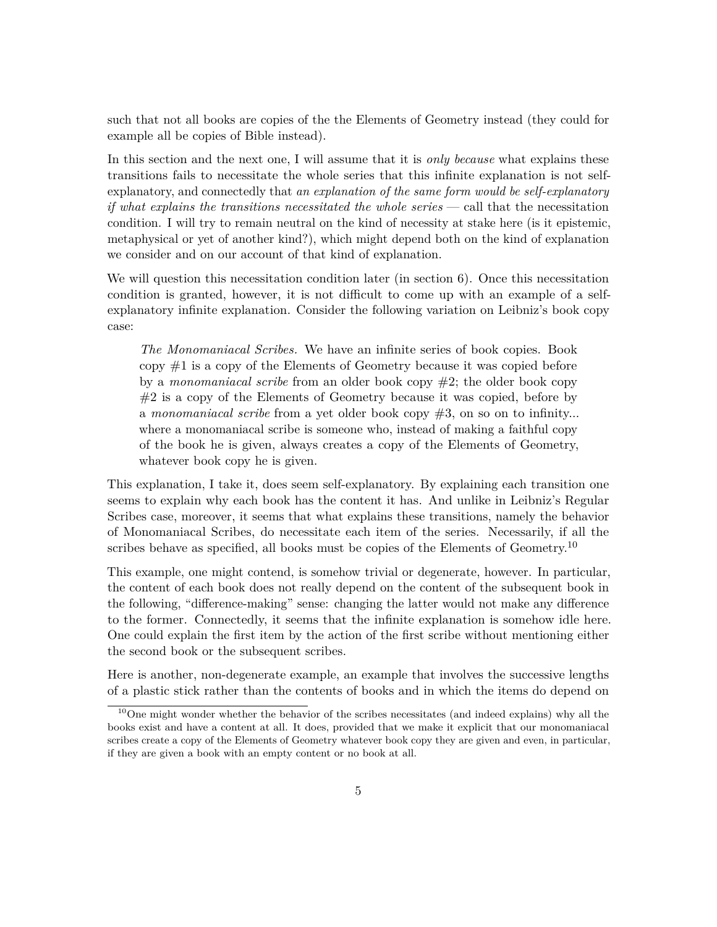such that not all books are copies of the the Elements of Geometry instead (they could for example all be copies of Bible instead).

In this section and the next one, I will assume that it is *only because* what explains these transitions fails to necessitate the whole series that this infinite explanation is not selfexplanatory, and connectedly that *an explanation of the same form would be self-explanatory if what explains the transitions necessitated the whole series* — call that the necessitation condition. I will try to remain neutral on the kind of necessity at stake here (is it epistemic, metaphysical or yet of another kind?), which might depend both on the kind of explanation we consider and on our account of that kind of explanation.

We will question this necessitation condition later (in section  $6$ ). Once this necessitation condition is granted, however, it is not difficult to come up with an example of a selfexplanatory infinite explanation. Consider the following variation on Leibniz's book copy case:

*The Monomaniacal Scribes.* We have an infinite series of book copies. Book copy #1 is a copy of the Elements of Geometry because it was copied before by a *monomaniacal scribe* from an older book copy #2; the older book copy #2 is a copy of the Elements of Geometry because it was copied, before by a *monomaniacal scribe* from a yet older book copy #3, on so on to infinity... where a monomaniacal scribe is someone who, instead of making a faithful copy of the book he is given, always creates a copy of the Elements of Geometry, whatever book copy he is given.

This explanation, I take it, does seem self-explanatory. By explaining each transition one seems to explain why each book has the content it has. And unlike in Leibniz's Regular Scribes case, moreover, it seems that what explains these transitions, namely the behavior of Monomaniacal Scribes, do necessitate each item of the series. Necessarily, if all the scribes behave as specified, all books must be copies of the Elements of Geometry.<sup>[10](#page-4-0)</sup>

This example, one might contend, is somehow trivial or degenerate, however. In particular, the content of each book does not really depend on the content of the subsequent book in the following, "difference-making" sense: changing the latter would not make any difference to the former. Connectedly, it seems that the infinite explanation is somehow idle here. One could explain the first item by the action of the first scribe without mentioning either the second book or the subsequent scribes.

Here is another, non-degenerate example, an example that involves the successive lengths of a plastic stick rather than the contents of books and in which the items do depend on

<span id="page-4-0"></span><sup>&</sup>lt;sup>10</sup>One might wonder whether the behavior of the scribes necessitates (and indeed explains) why all the books exist and have a content at all. It does, provided that we make it explicit that our monomaniacal scribes create a copy of the Elements of Geometry whatever book copy they are given and even, in particular, if they are given a book with an empty content or no book at all.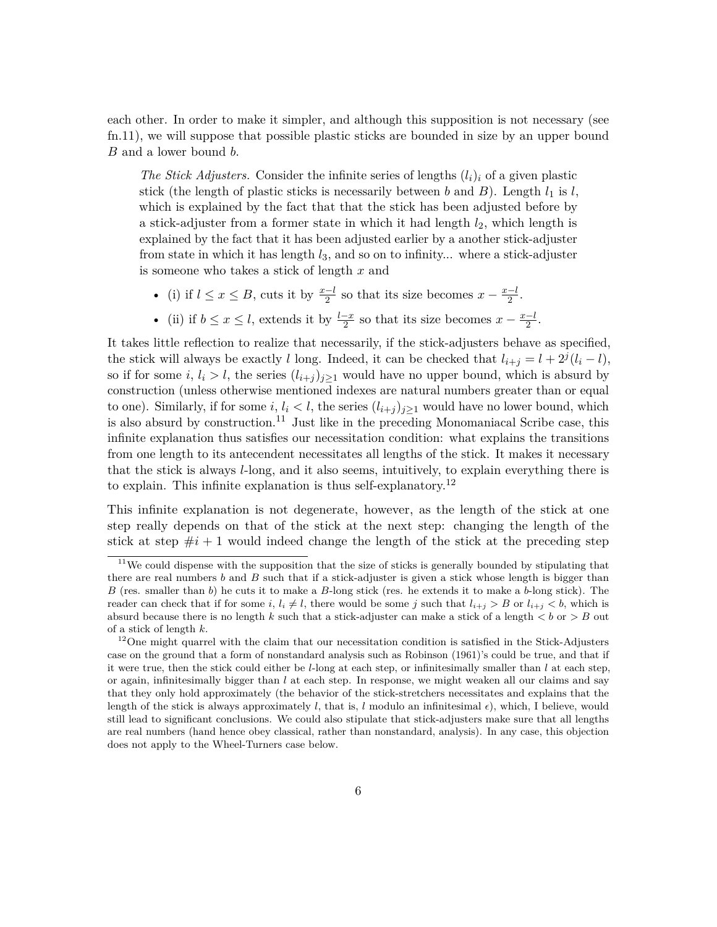each other. In order to make it simpler, and although this supposition is not necessary (see fn[.11\)](#page-5-0), we will suppose that possible plastic sticks are bounded in size by an upper bound *B* and a lower bound *b*.

*The Stick Adjusters.* Consider the infinite series of lengths  $(l_i)_i$  of a given plastic stick (the length of plastic sticks is necessarily between *b* and *B*). Length  $l_1$  is  $l$ , which is explained by the fact that that the stick has been adjusted before by a stick-adjuster from a former state in which it had length *l*2, which length is explained by the fact that it has been adjusted earlier by a another stick-adjuster from state in which it has length *l*3, and so on to infinity... where a stick-adjuster is someone who takes a stick of length *x* and

- (i) if  $l \leq x \leq B$ , cuts it by  $\frac{x-l}{2}$  so that its size becomes  $x \frac{x-l}{2}$  $\frac{-l}{2}$ .
- (ii) if  $b \leq x \leq l$ , extends it by  $\frac{l-x}{2}$  so that its size becomes  $x \frac{x-l}{2}$  $\frac{-l}{2}$ .

It takes little reflection to realize that necessarily, if the stick-adjusters behave as specified, the stick will always be exactly *l* long. Indeed, it can be checked that  $l_{i+j} = l + 2^{j}(l_i - l)$ , so if for some  $i, l_i > l$ , the series  $(l_{i+j})_{j\geq 1}$  would have no upper bound, which is absurd by construction (unless otherwise mentioned indexes are natural numbers greater than or equal to one). Similarly, if for some  $i, l_i < l$ , the series  $(l_{i+j})_{j\geq 1}$  would have no lower bound, which is also absurd by construction.<sup>[11](#page-5-0)</sup> Just like in the preceding Monomaniacal Scribe case, this infinite explanation thus satisfies our necessitation condition: what explains the transitions from one length to its antecendent necessitates all lengths of the stick. It makes it necessary that the stick is always *l*-long, and it also seems, intuitively, to explain everything there is to explain. This infinite explanation is thus self-explanatory.<sup>[12](#page-5-1)</sup>

This infinite explanation is not degenerate, however, as the length of the stick at one step really depends on that of the stick at the next step: changing the length of the stick at step  $\#i + 1$  would indeed change the length of the stick at the preceding step

<span id="page-5-0"></span> $11$ We could dispense with the supposition that the size of sticks is generally bounded by stipulating that there are real numbers *b* and *B* such that if a stick-adjuster is given a stick whose length is bigger than *B* (res. smaller than *b*) he cuts it to make a *B*-long stick (res. he extends it to make a *b*-long stick). The reader can check that if for some *i*,  $l_i \neq l$ , there would be some *j* such that  $l_{i+j} > B$  or  $l_{i+j} < b$ , which is absurd because there is no length  $k$  such that a stick-adjuster can make a stick of a length  $\lt b$  or  $> B$  out of a stick of length *k*.

<span id="page-5-1"></span><sup>&</sup>lt;sup>12</sup>One might quarrel with the claim that our necessitation condition is satisfied in the Stick-Adjusters case on the ground that a form of nonstandard analysis such as [Robinson](#page-19-11) [\(1961\)](#page-19-11)'s could be true, and that if it were true, then the stick could either be *l*-long at each step, or infinitesimally smaller than *l* at each step, or again, infinitesimally bigger than *l* at each step. In response, we might weaken all our claims and say that they only hold approximately (the behavior of the stick-stretchers necessitates and explains that the length of the stick is always approximately *l*, that is, *l* modulo an infinitesimal  $\epsilon$ ), which, I believe, would still lead to significant conclusions. We could also stipulate that stick-adjusters make sure that all lengths are real numbers (hand hence obey classical, rather than nonstandard, analysis). In any case, this objection does not apply to the Wheel-Turners case below.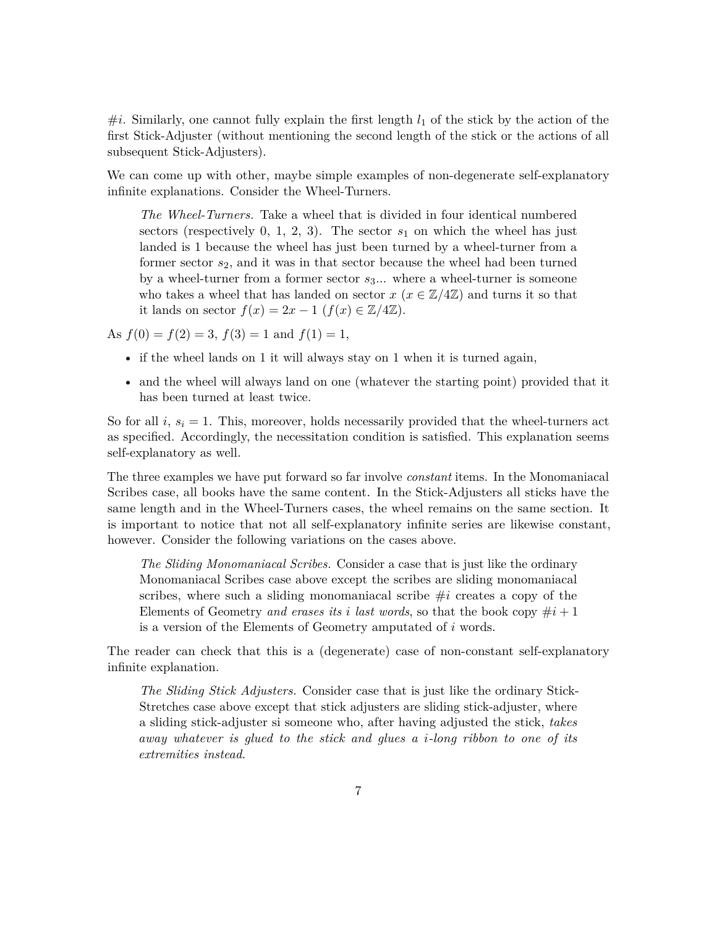$\#i$ . Similarly, one cannot fully explain the first length  $l_1$  of the stick by the action of the first Stick-Adjuster (without mentioning the second length of the stick or the actions of all subsequent Stick-Adjusters).

We can come up with other, maybe simple examples of non-degenerate self-explanatory infinite explanations. Consider the Wheel-Turners.

*The Wheel-Turners.* Take a wheel that is divided in four identical numbered sectors (respectively  $0, 1, 2, 3$ ). The sector  $s_1$  on which the wheel has just landed is 1 because the wheel has just been turned by a wheel-turner from a former sector *s*2, and it was in that sector because the wheel had been turned by a wheel-turner from a former sector *s*3... where a wheel-turner is someone who takes a wheel that has landed on sector  $x (x \in \mathbb{Z}/4\mathbb{Z})$  and turns it so that it lands on sector  $f(x) = 2x - 1$  ( $f(x) \in \mathbb{Z}/4\mathbb{Z}$ ).

As  $f(0) = f(2) = 3$ ,  $f(3) = 1$  and  $f(1) = 1$ ,

- if the wheel lands on 1 it will always stay on 1 when it is turned again,
- and the wheel will always land on one (whatever the starting point) provided that it has been turned at least twice.

So for all  $i, s_i = 1$ . This, moreover, holds necessarily provided that the wheel-turners act as specified. Accordingly, the necessitation condition is satisfied. This explanation seems self-explanatory as well.

The three examples we have put forward so far involve *constant* items. In the Monomaniacal Scribes case, all books have the same content. In the Stick-Adjusters all sticks have the same length and in the Wheel-Turners cases, the wheel remains on the same section. It is important to notice that not all self-explanatory infinite series are likewise constant, however. Consider the following variations on the cases above.

*The Sliding Monomaniacal Scribes.* Consider a case that is just like the ordinary Monomaniacal Scribes case above except the scribes are sliding monomaniacal scribes, where such a sliding monomaniacal scribe #*i* creates a copy of the Elements of Geometry *and erases its i last words*, so that the book copy  $\#i + 1$ is a version of the Elements of Geometry amputated of *i* words.

The reader can check that this is a (degenerate) case of non-constant self-explanatory infinite explanation.

*The Sliding Stick Adjusters.* Consider case that is just like the ordinary Stick-Stretches case above except that stick adjusters are sliding stick-adjuster, where a sliding stick-adjuster si someone who, after having adjusted the stick, *takes away whatever is glued to the stick and glues a i-long ribbon to one of its extremities instead*.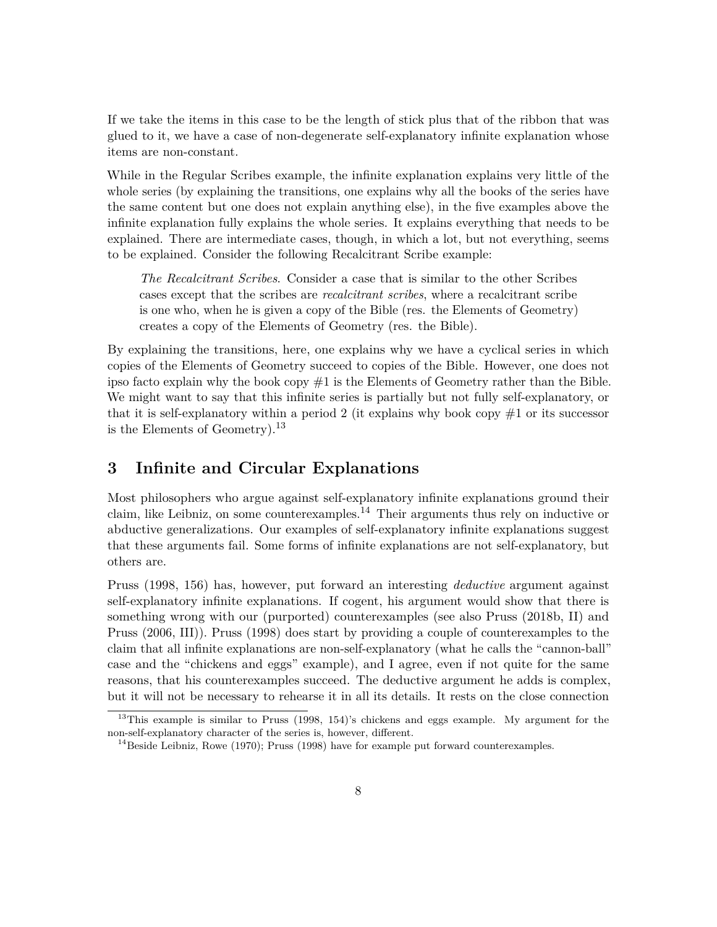If we take the items in this case to be the length of stick plus that of the ribbon that was glued to it, we have a case of non-degenerate self-explanatory infinite explanation whose items are non-constant.

While in the Regular Scribes example, the infinite explanation explains very little of the whole series (by explaining the transitions, one explains why all the books of the series have the same content but one does not explain anything else), in the five examples above the infinite explanation fully explains the whole series. It explains everything that needs to be explained. There are intermediate cases, though, in which a lot, but not everything, seems to be explained. Consider the following Recalcitrant Scribe example:

*The Recalcitrant Scribes*. Consider a case that is similar to the other Scribes cases except that the scribes are *recalcitrant scribes*, where a recalcitrant scribe is one who, when he is given a copy of the Bible (res. the Elements of Geometry) creates a copy of the Elements of Geometry (res. the Bible).

By explaining the transitions, here, one explains why we have a cyclical series in which copies of the Elements of Geometry succeed to copies of the Bible. However, one does not ipso facto explain why the book copy #1 is the Elements of Geometry rather than the Bible. We might want to say that this infinite series is partially but not fully self-explanatory, or that it is self-explanatory within a period 2 (it explains why book copy  $\#1$  or its successor is the Elements of Geometry).<sup>[13](#page-7-1)</sup>

#### <span id="page-7-0"></span>**3 Infinite and Circular Explanations**

Most philosophers who argue against self-explanatory infinite explanations ground their claim, like Leibniz, on some counterexamples.<sup>[14](#page-7-2)</sup> Their arguments thus rely on inductive or abductive generalizations. Our examples of self-explanatory infinite explanations suggest that these arguments fail. Some forms of infinite explanations are not self-explanatory, but others are.

[Pruss](#page-19-1) [\(1998,](#page-19-1) 156) has, however, put forward an interesting *deductive* argument against self-explanatory infinite explanations. If cogent, his argument would show that there is something wrong with our (purported) counterexamples (see also [Pruss](#page-19-0) [\(2018b,](#page-19-0) II) and [Pruss](#page-19-6) [\(2006,](#page-19-6) III)). [Pruss](#page-19-1) [\(1998\)](#page-19-1) does start by providing a couple of counterexamples to the claim that all infinite explanations are non-self-explanatory (what he calls the "cannon-ball" case and the "chickens and eggs" example), and I agree, even if not quite for the same reasons, that his counterexamples succeed. The deductive argument he adds is complex, but it will not be necessary to rehearse it in all its details. It rests on the close connection

<span id="page-7-1"></span><sup>&</sup>lt;sup>13</sup>This example is similar to [Pruss](#page-19-1) [\(1998,](#page-19-1) 154)'s chickens and eggs example. My argument for the non-self-explanatory character of the series is, however, different.

<span id="page-7-2"></span> $14$ Beside Leibniz, [Rowe](#page-20-0) [\(1970\)](#page-20-0); [Pruss](#page-19-1) [\(1998\)](#page-19-1) have for example put forward counterexamples.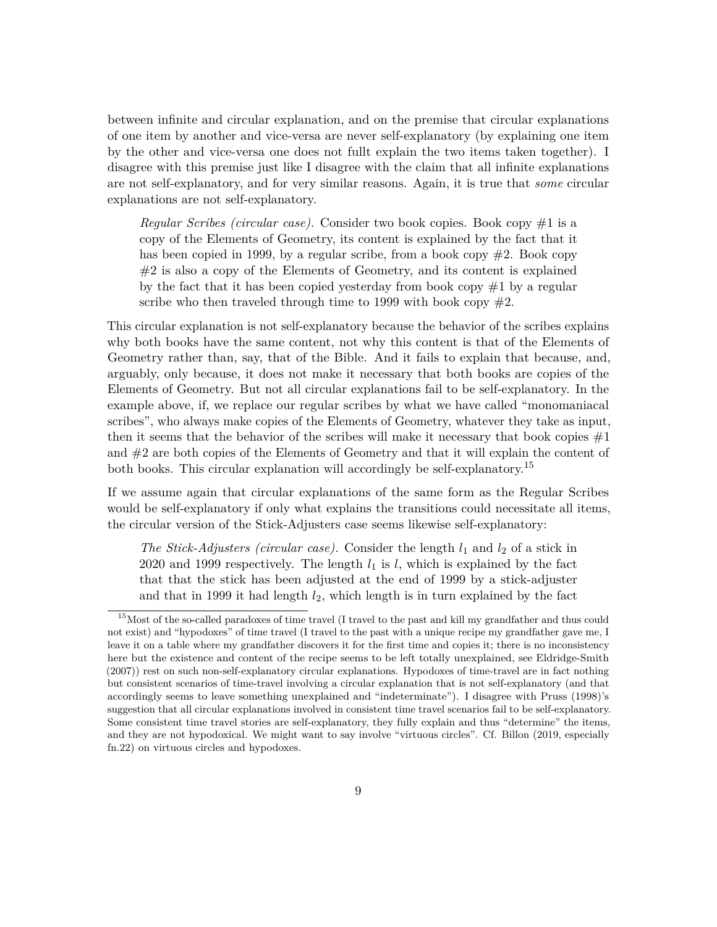between infinite and circular explanation, and on the premise that circular explanations of one item by another and vice-versa are never self-explanatory (by explaining one item by the other and vice-versa one does not fullt explain the two items taken together). I disagree with this premise just like I disagree with the claim that all infinite explanations are not self-explanatory, and for very similar reasons. Again, it is true that *some* circular explanations are not self-explanatory.

*Regular Scribes (circular case).* Consider two book copies. Book copy #1 is a copy of the Elements of Geometry, its content is explained by the fact that it has been copied in 1999, by a regular scribe, from a book copy  $\#2$ . Book copy  $#2$  is also a copy of the Elements of Geometry, and its content is explained by the fact that it has been copied yesterday from book copy  $#1$  by a regular scribe who then traveled through time to 1999 with book copy  $#2$ .

This circular explanation is not self-explanatory because the behavior of the scribes explains why both books have the same content, not why this content is that of the Elements of Geometry rather than, say, that of the Bible. And it fails to explain that because, and, arguably, only because, it does not make it necessary that both books are copies of the Elements of Geometry. But not all circular explanations fail to be self-explanatory. In the example above, if, we replace our regular scribes by what we have called "monomaniacal scribes", who always make copies of the Elements of Geometry, whatever they take as input, then it seems that the behavior of the scribes will make it necessary that book copies  $\#1$ and #2 are both copies of the Elements of Geometry and that it will explain the content of both books. This circular explanation will accordingly be self-explanatory.[15](#page-8-0)

If we assume again that circular explanations of the same form as the Regular Scribes would be self-explanatory if only what explains the transitions could necessitate all items, the circular version of the Stick-Adjusters case seems likewise self-explanatory:

*The Stick-Adjusters (circular case).* Consider the length  $l_1$  and  $l_2$  of a stick in 2020 and 1999 respectively. The length  $l_1$  is  $l$ , which is explained by the fact that that the stick has been adjusted at the end of 1999 by a stick-adjuster and that in 1999 it had length *l*2, which length is in turn explained by the fact

<span id="page-8-0"></span> $15$ Most of the so-called paradoxes of time travel (I travel to the past and kill my grandfather and thus could not exist) and "hypodoxes" of time travel (I travel to the past with a unique recipe my grandfather gave me, I leave it on a table where my grandfather discovers it for the first time and copies it; there is no inconsistency here but the existence and content of the recipe seems to be left totally unexplained, see [Eldridge-Smith](#page-19-12) [\(2007\)](#page-19-12)) rest on such non-self-explanatory circular explanations. Hypodoxes of time-travel are in fact nothing but consistent scenarios of time-travel involving a circular explanation that is not self-explanatory (and that accordingly seems to leave something unexplained and "indeterminate"). I disagree with [Pruss](#page-19-1) [\(1998\)](#page-19-1)'s suggestion that all circular explanations involved in consistent time travel scenarios fail to be self-explanatory. Some consistent time travel stories are self-explanatory, they fully explain and thus "determine" the items, and they are not hypodoxical. We might want to say involve "virtuous circles". Cf. [Billon](#page-18-5) [\(2019,](#page-18-5) especially fn.22) on virtuous circles and hypodoxes.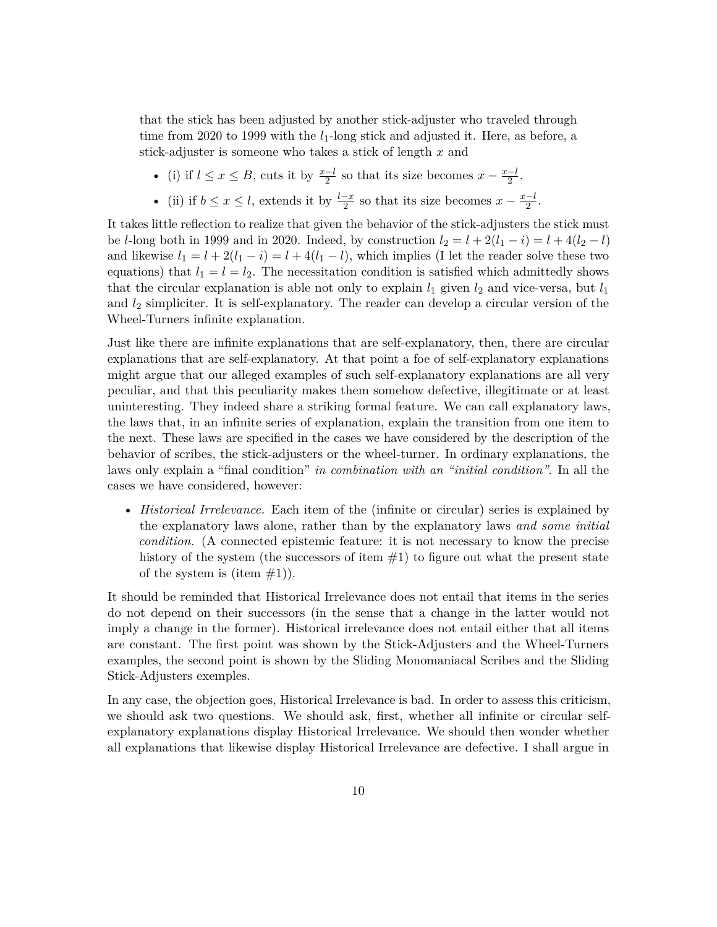that the stick has been adjusted by another stick-adjuster who traveled through time from 2020 to 1999 with the *l*<sub>1</sub>-long stick and adjusted it. Here, as before, a stick-adjuster is someone who takes a stick of length *x* and

- (i) if  $l \leq x \leq B$ , cuts it by  $\frac{x-l}{2}$  so that its size becomes  $x \frac{x-l}{2}$  $\frac{-l}{2}$ .
- (ii) if  $b \leq x \leq l$ , extends it by  $\frac{l-x}{2}$  so that its size becomes  $x \frac{x-l}{2}$  $\frac{-l}{2}$ .

It takes little reflection to realize that given the behavior of the stick-adjusters the stick must be *l*-long both in 1999 and in 2020. Indeed, by construction  $l_2 = l + 2(l_1 - i) = l + 4(l_2 - l)$ and likewise  $l_1 = l + 2(l_1 - i) = l + 4(l_1 - l)$ , which implies (I let the reader solve these two equations) that  $l_1 = l = l_2$ . The necessitation condition is satisfied which admittedly shows that the circular explanation is able not only to explain  $l_1$  given  $l_2$  and vice-versa, but  $l_1$ and *l*<sup>2</sup> simpliciter. It is self-explanatory. The reader can develop a circular version of the Wheel-Turners infinite explanation.

Just like there are infinite explanations that are self-explanatory, then, there are circular explanations that are self-explanatory. At that point a foe of self-explanatory explanations might argue that our alleged examples of such self-explanatory explanations are all very peculiar, and that this peculiarity makes them somehow defective, illegitimate or at least uninteresting. They indeed share a striking formal feature. We can call explanatory laws, the laws that, in an infinite series of explanation, explain the transition from one item to the next. These laws are specified in the cases we have considered by the description of the behavior of scribes, the stick-adjusters or the wheel-turner. In ordinary explanations, the laws only explain a "final condition" *in combination with an "initial condition"*. In all the cases we have considered, however:

• *Historical Irrelevance*. Each item of the (infinite or circular) series is explained by the explanatory laws alone, rather than by the explanatory laws *and some initial condition.* (A connected epistemic feature: it is not necessary to know the precise history of the system (the successors of item  $#1$ ) to figure out what the present state of the system is (item  $#1$ ).

It should be reminded that Historical Irrelevance does not entail that items in the series do not depend on their successors (in the sense that a change in the latter would not imply a change in the former). Historical irrelevance does not entail either that all items are constant. The first point was shown by the Stick-Adjusters and the Wheel-Turners examples, the second point is shown by the Sliding Monomaniacal Scribes and the Sliding Stick-Adjusters exemples.

In any case, the objection goes, Historical Irrelevance is bad. In order to assess this criticism, we should ask two questions. We should ask, first, whether all infinite or circular selfexplanatory explanations display Historical Irrelevance. We should then wonder whether all explanations that likewise display Historical Irrelevance are defective. I shall argue in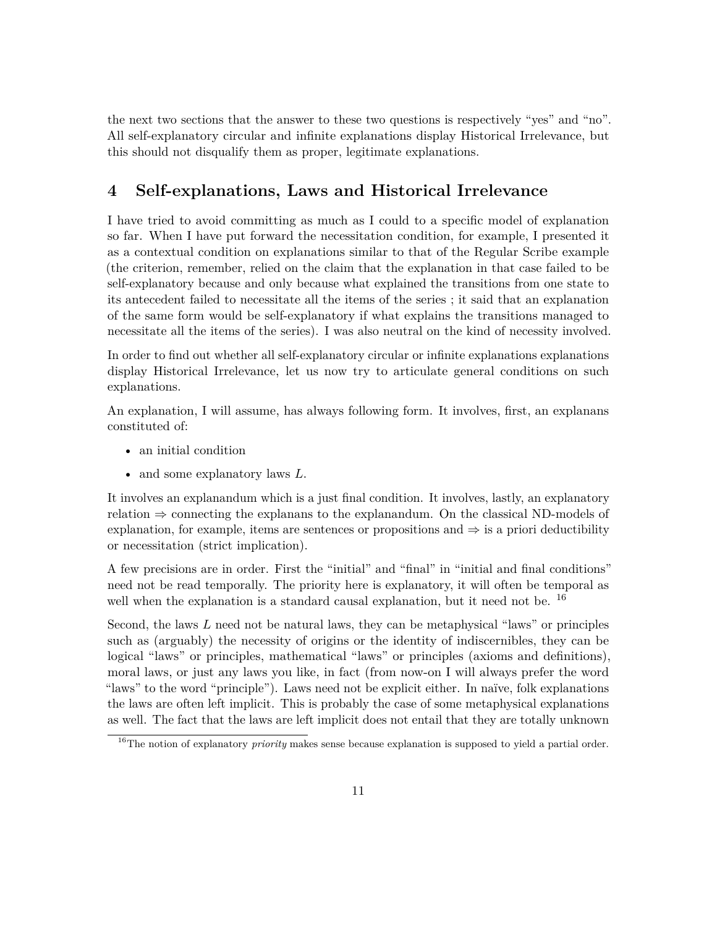the next two sections that the answer to these two questions is respectively "yes" and "no". All self-explanatory circular and infinite explanations display Historical Irrelevance, but this should not disqualify them as proper, legitimate explanations.

# <span id="page-10-0"></span>**4 Self-explanations, Laws and Historical Irrelevance**

I have tried to avoid committing as much as I could to a specific model of explanation so far. When I have put forward the necessitation condition, for example, I presented it as a contextual condition on explanations similar to that of the Regular Scribe example (the criterion, remember, relied on the claim that the explanation in that case failed to be self-explanatory because and only because what explained the transitions from one state to its antecedent failed to necessitate all the items of the series ; it said that an explanation of the same form would be self-explanatory if what explains the transitions managed to necessitate all the items of the series). I was also neutral on the kind of necessity involved.

In order to find out whether all self-explanatory circular or infinite explanations explanations display Historical Irrelevance, let us now try to articulate general conditions on such explanations.

An explanation, I will assume, has always following form. It involves, first, an explanans constituted of:

- an initial condition
- and some explanatory laws *L*.

It involves an explanandum which is a just final condition. It involves, lastly, an explanatory relation ⇒ connecting the explanans to the explanandum. On the classical ND-models of explanation, for example, items are sentences or propositions and  $\Rightarrow$  is a priori deductibility or necessitation (strict implication).

A few precisions are in order. First the "initial" and "final" in "initial and final conditions" need not be read temporally. The priority here is explanatory, it will often be temporal as well when the explanation is a standard causal explanation, but it need not be. <sup>[16](#page-10-1)</sup>

Second, the laws *L* need not be natural laws, they can be metaphysical "laws" or principles such as (arguably) the necessity of origins or the identity of indiscernibles, they can be logical "laws" or principles, mathematical "laws" or principles (axioms and definitions), moral laws, or just any laws you like, in fact (from now-on I will always prefer the word "laws" to the word "principle"). Laws need not be explicit either. In naïve, folk explanations the laws are often left implicit. This is probably the case of some metaphysical explanations as well. The fact that the laws are left implicit does not entail that they are totally unknown

<span id="page-10-1"></span><sup>&</sup>lt;sup>16</sup>The notion of explanatory *priority* makes sense because explanation is supposed to yield a partial order.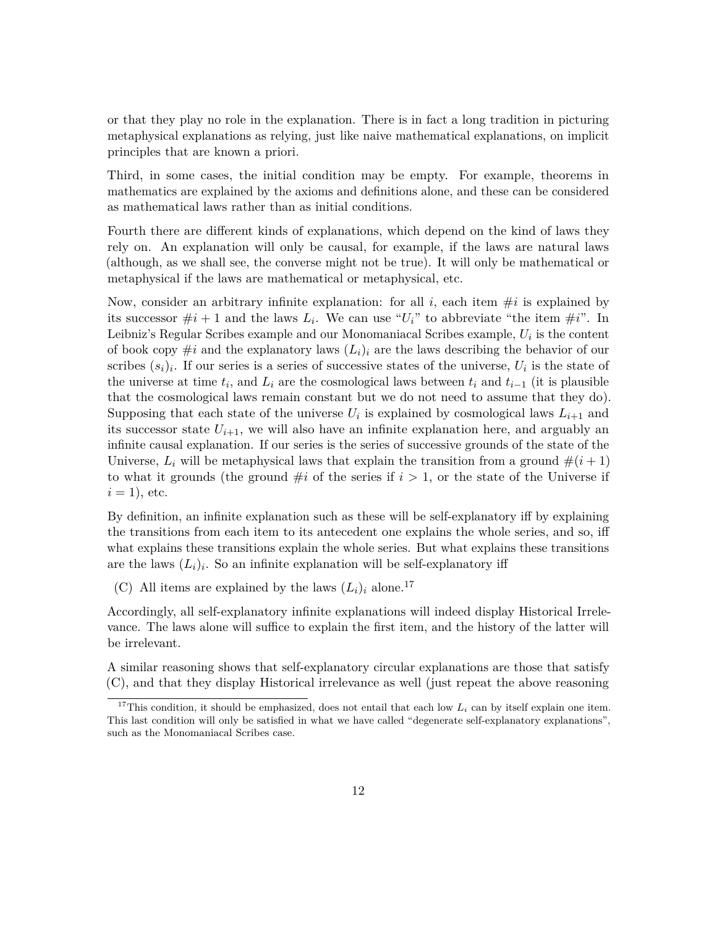or that they play no role in the explanation. There is in fact a long tradition in picturing metaphysical explanations as relying, just like naive mathematical explanations, on implicit principles that are known a priori.

Third, in some cases, the initial condition may be empty. For example, theorems in mathematics are explained by the axioms and definitions alone, and these can be considered as mathematical laws rather than as initial conditions.

Fourth there are different kinds of explanations, which depend on the kind of laws they rely on. An explanation will only be causal, for example, if the laws are natural laws (although, as we shall see, the converse might not be true). It will only be mathematical or metaphysical if the laws are mathematical or metaphysical, etc.

Now, consider an arbitrary infinite explanation: for all  $i$ , each item  $\#i$  is explained by its successor  $\#i + 1$  and the laws  $L_i$ . We can use " $U_i$ " to abbreviate "the item  $\#i$ ". In Leibniz's Regular Scribes example and our Monomaniacal Scribes example, *U<sup>i</sup>* is the content of book copy  $\#i$  and the explanatory laws  $(L_i)_i$  are the laws describing the behavior of our scribes  $(s_i)_i$ . If our series is a series of successive states of the universe,  $U_i$  is the state of the universe at time  $t_i$ , and  $L_i$  are the cosmological laws between  $t_i$  and  $t_{i-1}$  (it is plausible that the cosmological laws remain constant but we do not need to assume that they do). Supposing that each state of the universe  $U_i$  is explained by cosmological laws  $L_{i+1}$  and its successor state  $U_{i+1}$ , we will also have an infinite explanation here, and arguably an infinite causal explanation. If our series is the series of successive grounds of the state of the Universe,  $L_i$  will be metaphysical laws that explain the transition from a ground  $\#(i+1)$ to what it grounds (the ground  $\#i$  of the series if  $i > 1$ , or the state of the Universe if  $i = 1$ , etc.

By definition, an infinite explanation such as these will be self-explanatory iff by explaining the transitions from each item to its antecedent one explains the whole series, and so, iff what explains these transitions explain the whole series. But what explains these transitions are the laws  $(L_i)_i$ . So an infinite explanation will be self-explanatory iff

(C) All items are explained by the laws  $(L_i)_i$  alone.<sup>[17](#page-11-0)</sup>

Accordingly, all self-explanatory infinite explanations will indeed display Historical Irrelevance. The laws alone will suffice to explain the first item, and the history of the latter will be irrelevant.

A similar reasoning shows that self-explanatory circular explanations are those that satisfy (C), and that they display Historical irrelevance as well (just repeat the above reasoning

<span id="page-11-0"></span><sup>&</sup>lt;sup>17</sup>This condition, it should be emphasized, does not entail that each low  $L_i$  can by itself explain one item. This last condition will only be satisfied in what we have called "degenerate self-explanatory explanations", such as the Monomaniacal Scribes case.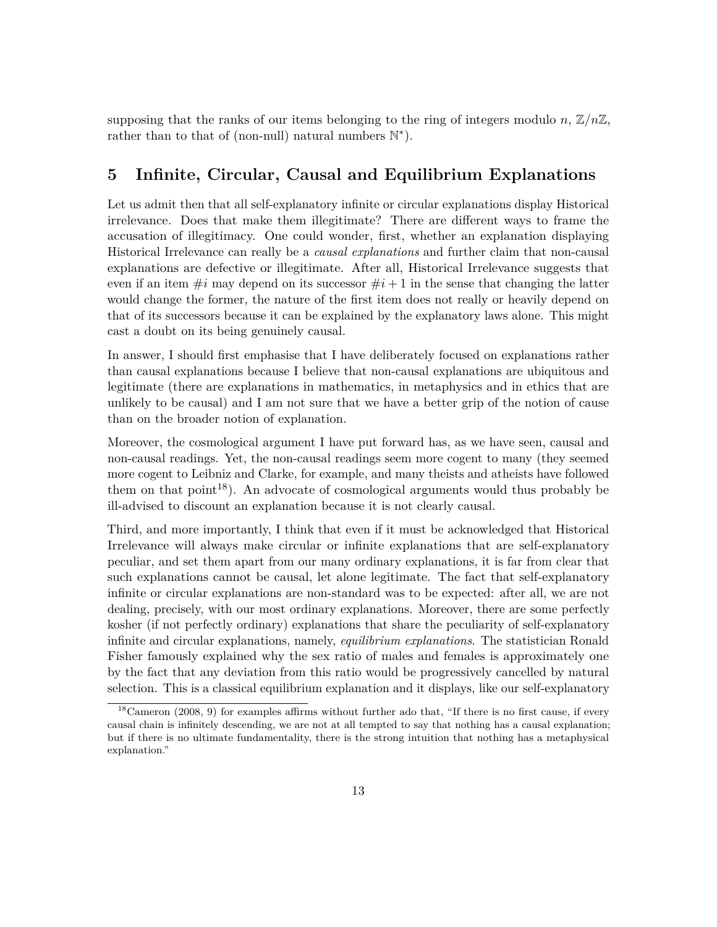supposing that the ranks of our items belonging to the ring of integers modulo *n*,  $\mathbb{Z}/n\mathbb{Z}$ , rather than to that of (non-null) natural numbers  $\mathbb{N}^*$ ).

## <span id="page-12-0"></span>**5 Infinite, Circular, Causal and Equilibrium Explanations**

Let us admit then that all self-explanatory infinite or circular explanations display Historical irrelevance. Does that make them illegitimate? There are different ways to frame the accusation of illegitimacy. One could wonder, first, whether an explanation displaying Historical Irrelevance can really be a *causal explanations* and further claim that non-causal explanations are defective or illegitimate. After all, Historical Irrelevance suggests that even if an item  $\#i$  may depend on its successor  $\#i + 1$  in the sense that changing the latter would change the former, the nature of the first item does not really or heavily depend on that of its successors because it can be explained by the explanatory laws alone. This might cast a doubt on its being genuinely causal.

In answer, I should first emphasise that I have deliberately focused on explanations rather than causal explanations because I believe that non-causal explanations are ubiquitous and legitimate (there are explanations in mathematics, in metaphysics and in ethics that are unlikely to be causal) and I am not sure that we have a better grip of the notion of cause than on the broader notion of explanation.

Moreover, the cosmological argument I have put forward has, as we have seen, causal and non-causal readings. Yet, the non-causal readings seem more cogent to many (they seemed more cogent to Leibniz and Clarke, for example, and many theists and atheists have followed them on that point<sup>[18](#page-12-1)</sup>). An advocate of cosmological arguments would thus probably be ill-advised to discount an explanation because it is not clearly causal.

Third, and more importantly, I think that even if it must be acknowledged that Historical Irrelevance will always make circular or infinite explanations that are self-explanatory peculiar, and set them apart from our many ordinary explanations, it is far from clear that such explanations cannot be causal, let alone legitimate. The fact that self-explanatory infinite or circular explanations are non-standard was to be expected: after all, we are not dealing, precisely, with our most ordinary explanations. Moreover, there are some perfectly kosher (if not perfectly ordinary) explanations that share the peculiarity of self-explanatory infinite and circular explanations, namely, *equilibrium explanations*. The statistician Ronald Fisher famously explained why the sex ratio of males and females is approximately one by the fact that any deviation from this ratio would be progressively cancelled by natural selection. This is a classical equilibrium explanation and it displays, like our self-explanatory

<span id="page-12-1"></span> $18$ [Cameron](#page-18-4) [\(2008,](#page-18-4) 9) for examples affirms without further ado that, "If there is no first cause, if every causal chain is infinitely descending, we are not at all tempted to say that nothing has a causal explanation; but if there is no ultimate fundamentality, there is the strong intuition that nothing has a metaphysical explanation."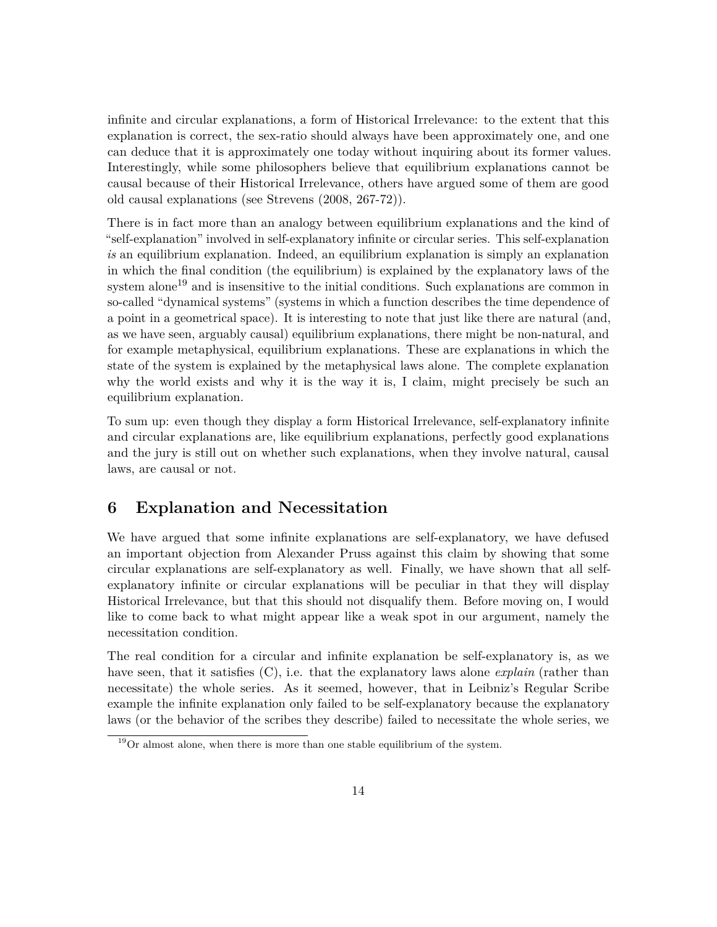infinite and circular explanations, a form of Historical Irrelevance: to the extent that this explanation is correct, the sex-ratio should always have been approximately one, and one can deduce that it is approximately one today without inquiring about its former values. Interestingly, while some philosophers believe that equilibrium explanations cannot be causal because of their Historical Irrelevance, others have argued some of them are good old causal explanations (see [Strevens](#page-20-4) [\(2008,](#page-20-4) 267-72)).

There is in fact more than an analogy between equilibrium explanations and the kind of "self-explanation" involved in self-explanatory infinite or circular series. This self-explanation *is* an equilibrium explanation. Indeed, an equilibrium explanation is simply an explanation in which the final condition (the equilibrium) is explained by the explanatory laws of the system alone<sup>[19](#page-13-1)</sup> and is insensitive to the initial conditions. Such explanations are common in so-called "dynamical systems" (systems in which a function describes the time dependence of a point in a geometrical space). It is interesting to note that just like there are natural (and, as we have seen, arguably causal) equilibrium explanations, there might be non-natural, and for example metaphysical, equilibrium explanations. These are explanations in which the state of the system is explained by the metaphysical laws alone. The complete explanation why the world exists and why it is the way it is, I claim, might precisely be such an equilibrium explanation.

To sum up: even though they display a form Historical Irrelevance, self-explanatory infinite and circular explanations are, like equilibrium explanations, perfectly good explanations and the jury is still out on whether such explanations, when they involve natural, causal laws, are causal or not.

## <span id="page-13-0"></span>**6 Explanation and Necessitation**

We have argued that some infinite explanations are self-explanatory, we have defused an important objection from Alexander Pruss against this claim by showing that some circular explanations are self-explanatory as well. Finally, we have shown that all selfexplanatory infinite or circular explanations will be peculiar in that they will display Historical Irrelevance, but that this should not disqualify them. Before moving on, I would like to come back to what might appear like a weak spot in our argument, namely the necessitation condition.

The real condition for a circular and infinite explanation be self-explanatory is, as we have seen, that it satisfies  $(C)$ , i.e. that the explanatory laws alone *explain* (rather than necessitate) the whole series. As it seemed, however, that in Leibniz's Regular Scribe example the infinite explanation only failed to be self-explanatory because the explanatory laws (or the behavior of the scribes they describe) failed to necessitate the whole series, we

<span id="page-13-1"></span> $19$ Or almost alone, when there is more than one stable equilibrium of the system.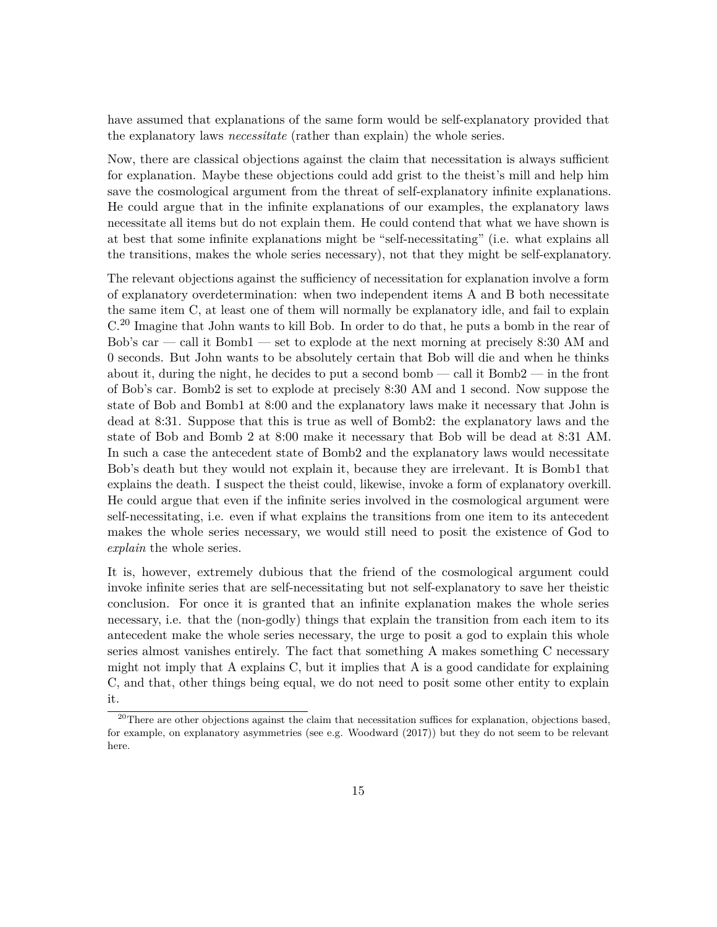have assumed that explanations of the same form would be self-explanatory provided that the explanatory laws *necessitate* (rather than explain) the whole series.

Now, there are classical objections against the claim that necessitation is always sufficient for explanation. Maybe these objections could add grist to the theist's mill and help him save the cosmological argument from the threat of self-explanatory infinite explanations. He could argue that in the infinite explanations of our examples, the explanatory laws necessitate all items but do not explain them. He could contend that what we have shown is at best that some infinite explanations might be "self-necessitating" (i.e. what explains all the transitions, makes the whole series necessary), not that they might be self-explanatory.

The relevant objections against the sufficiency of necessitation for explanation involve a form of explanatory overdetermination: when two independent items A and B both necessitate the same item C, at least one of them will normally be explanatory idle, and fail to explain C.[20](#page-14-0) Imagine that John wants to kill Bob. In order to do that, he puts a bomb in the rear of Bob's car — call it Bomb $1$  — set to explode at the next morning at precisely 8:30 AM and 0 seconds. But John wants to be absolutely certain that Bob will die and when he thinks about it, during the night, he decides to put a second bomb — call it Bomb2 — in the front of Bob's car. Bomb2 is set to explode at precisely 8:30 AM and 1 second. Now suppose the state of Bob and Bomb1 at 8:00 and the explanatory laws make it necessary that John is dead at 8:31. Suppose that this is true as well of Bomb2: the explanatory laws and the state of Bob and Bomb 2 at 8:00 make it necessary that Bob will be dead at 8:31 AM. In such a case the antecedent state of Bomb2 and the explanatory laws would necessitate Bob's death but they would not explain it, because they are irrelevant. It is Bomb1 that explains the death. I suspect the theist could, likewise, invoke a form of explanatory overkill. He could argue that even if the infinite series involved in the cosmological argument were self-necessitating, i.e. even if what explains the transitions from one item to its antecedent makes the whole series necessary, we would still need to posit the existence of God to *explain* the whole series.

It is, however, extremely dubious that the friend of the cosmological argument could invoke infinite series that are self-necessitating but not self-explanatory to save her theistic conclusion. For once it is granted that an infinite explanation makes the whole series necessary, i.e. that the (non-godly) things that explain the transition from each item to its antecedent make the whole series necessary, the urge to posit a god to explain this whole series almost vanishes entirely. The fact that something A makes something C necessary might not imply that A explains C, but it implies that A is a good candidate for explaining C, and that, other things being equal, we do not need to posit some other entity to explain it.

<span id="page-14-0"></span><sup>&</sup>lt;sup>20</sup>There are other objections against the claim that necessitation suffices for explanation, objections based, for example, on explanatory asymmetries (see e.g. [Woodward](#page-20-5) [\(2017\)](#page-20-5)) but they do not seem to be relevant here.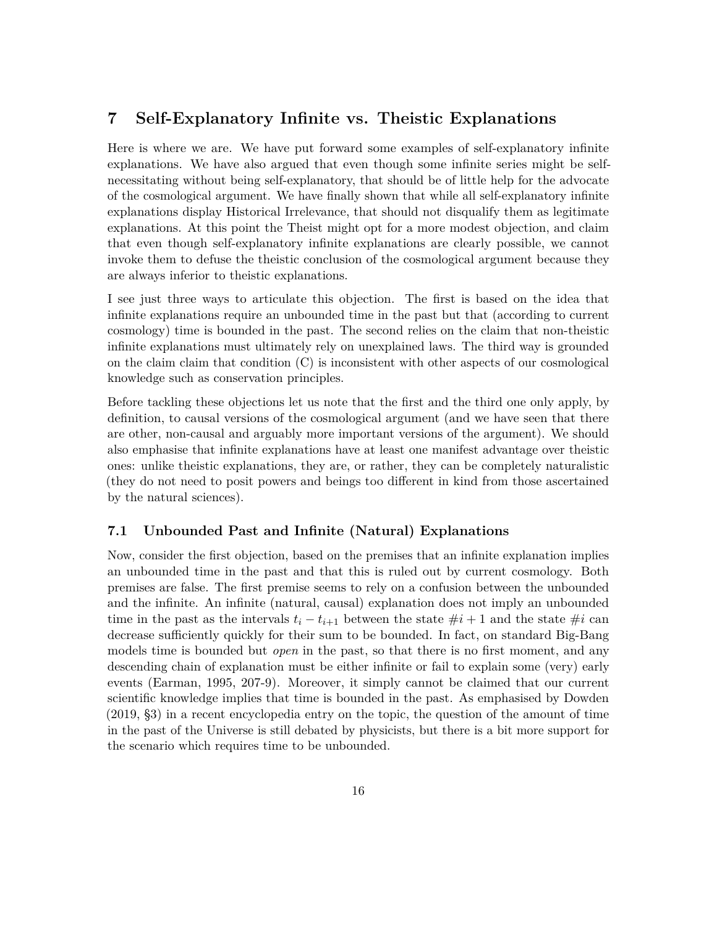#### <span id="page-15-0"></span>**7 Self-Explanatory Infinite vs. Theistic Explanations**

Here is where we are. We have put forward some examples of self-explanatory infinite explanations. We have also argued that even though some infinite series might be selfnecessitating without being self-explanatory, that should be of little help for the advocate of the cosmological argument. We have finally shown that while all self-explanatory infinite explanations display Historical Irrelevance, that should not disqualify them as legitimate explanations. At this point the Theist might opt for a more modest objection, and claim that even though self-explanatory infinite explanations are clearly possible, we cannot invoke them to defuse the theistic conclusion of the cosmological argument because they are always inferior to theistic explanations.

I see just three ways to articulate this objection. The first is based on the idea that infinite explanations require an unbounded time in the past but that (according to current cosmology) time is bounded in the past. The second relies on the claim that non-theistic infinite explanations must ultimately rely on unexplained laws. The third way is grounded on the claim claim that condition (C) is inconsistent with other aspects of our cosmological knowledge such as conservation principles.

Before tackling these objections let us note that the first and the third one only apply, by definition, to causal versions of the cosmological argument (and we have seen that there are other, non-causal and arguably more important versions of the argument). We should also emphasise that infinite explanations have at least one manifest advantage over theistic ones: unlike theistic explanations, they are, or rather, they can be completely naturalistic (they do not need to posit powers and beings too different in kind from those ascertained by the natural sciences).

#### **7.1 Unbounded Past and Infinite (Natural) Explanations**

Now, consider the first objection, based on the premises that an infinite explanation implies an unbounded time in the past and that this is ruled out by current cosmology. Both premises are false. The first premise seems to rely on a confusion between the unbounded and the infinite. An infinite (natural, causal) explanation does not imply an unbounded time in the past as the intervals  $t_i - t_{i+1}$  between the state  $\#i + 1$  and the state  $\#i$  can decrease sufficiently quickly for their sum to be bounded. In fact, on standard Big-Bang models time is bounded but *open* in the past, so that there is no first moment, and any descending chain of explanation must be either infinite or fail to explain some (very) early events [\(Earman, 1995,](#page-19-13) 207-9). Moreover, it simply cannot be claimed that our current scientific knowledge implies that time is bounded in the past. As emphasised by [Dowden](#page-19-14) [\(2019,](#page-19-14) §3) in a recent encyclopedia entry on the topic, the question of the amount of time in the past of the Universe is still debated by physicists, but there is a bit more support for the scenario which requires time to be unbounded.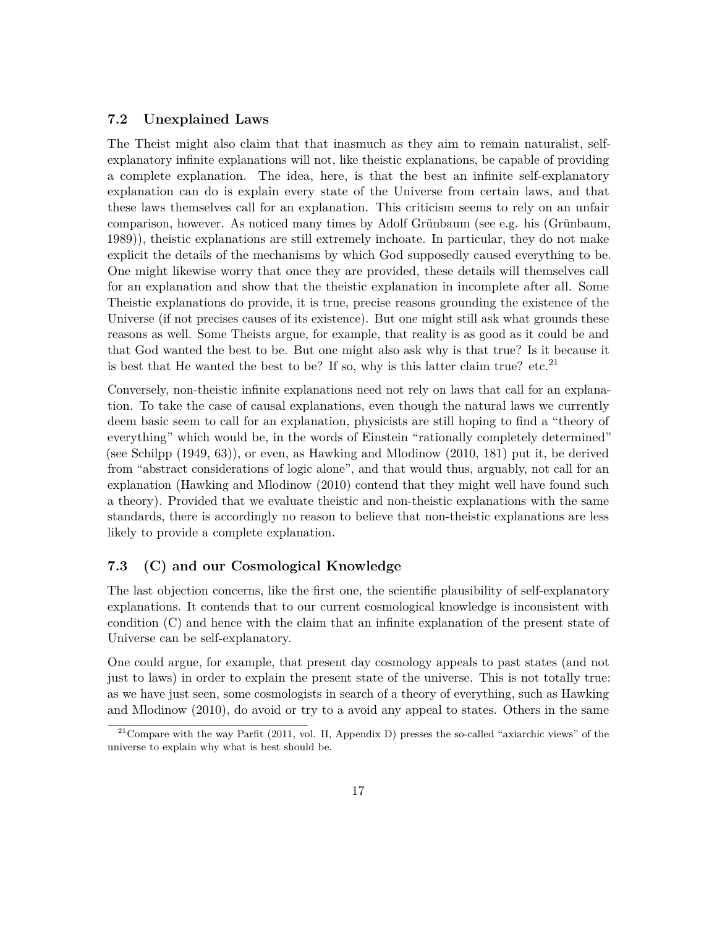#### **7.2 Unexplained Laws**

The Theist might also claim that that inasmuch as they aim to remain naturalist, selfexplanatory infinite explanations will not, like theistic explanations, be capable of providing a complete explanation. The idea, here, is that the best an infinite self-explanatory explanation can do is explain every state of the Universe from certain laws, and that these laws themselves call for an explanation. This criticism seems to rely on an unfair comparison, however. As noticed many times by Adolf Grünbaum (see e.g. his [\(Grünbaum,](#page-19-15) [1989\)](#page-19-15)), theistic explanations are still extremely inchoate. In particular, they do not make explicit the details of the mechanisms by which God supposedly caused everything to be. One might likewise worry that once they are provided, these details will themselves call for an explanation and show that the theistic explanation in incomplete after all. Some Theistic explanations do provide, it is true, precise reasons grounding the existence of the Universe (if not precises causes of its existence). But one might still ask what grounds these reasons as well. Some Theists argue, for example, that reality is as good as it could be and that God wanted the best to be. But one might also ask why is that true? Is it because it is best that He wanted the best to be? If so, why is this latter claim true? etc.<sup>[21](#page-16-0)</sup>

Conversely, non-theistic infinite explanations need not rely on laws that call for an explanation. To take the case of causal explanations, even though the natural laws we currently deem basic seem to call for an explanation, physicists are still hoping to find a "theory of everything" which would be, in the words of Einstein "rationally completely determined" (see [Schilpp](#page-20-6) [\(1949,](#page-20-6) 63)), or even, as [Hawking and Mlodinow](#page-19-16) [\(2010,](#page-19-16) 181) put it, be derived from "abstract considerations of logic alone", and that would thus, arguably, not call for an explanation [\(Hawking and Mlodinow](#page-19-16) [\(2010\)](#page-19-16) contend that they might well have found such a theory). Provided that we evaluate theistic and non-theistic explanations with the same standards, there is accordingly no reason to believe that non-theistic explanations are less likely to provide a complete explanation.

#### **7.3 (C) and our Cosmological Knowledge**

The last objection concerns, like the first one, the scientific plausibility of self-explanatory explanations. It contends that to our current cosmological knowledge is inconsistent with condition (C) and hence with the claim that an infinite explanation of the present state of Universe can be self-explanatory.

One could argue, for example, that present day cosmology appeals to past states (and not just to laws) in order to explain the present state of the universe. This is not totally true: as we have just seen, some cosmologists in search of a theory of everything, such as [Hawking](#page-19-16) [and Mlodinow](#page-19-16) [\(2010\)](#page-19-16), do avoid or try to a avoid any appeal to states. Others in the same

<span id="page-16-0"></span><sup>&</sup>lt;sup>21</sup>Compare with the way [Parfit](#page-19-9) [\(2011,](#page-19-9) vol. II, Appendix D) presses the so-called "axiarchic views" of the universe to explain why what is best should be.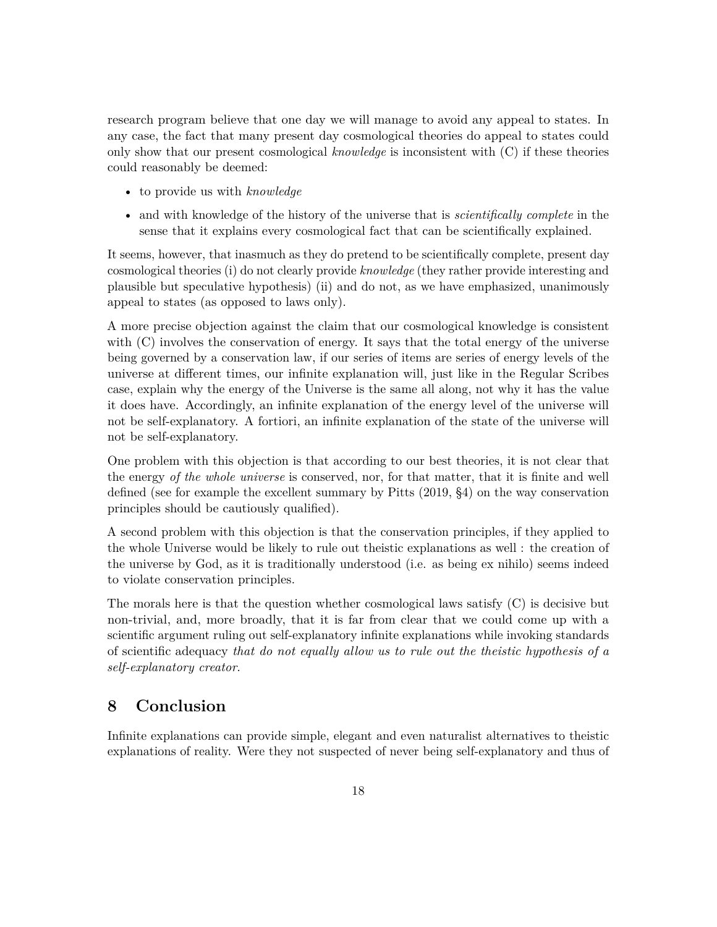research program believe that one day we will manage to avoid any appeal to states. In any case, the fact that many present day cosmological theories do appeal to states could only show that our present cosmological *knowledge* is inconsistent with (C) if these theories could reasonably be deemed:

- to provide us with *knowledge*
- and with knowledge of the history of the universe that is *scientifically complete* in the sense that it explains every cosmological fact that can be scientifically explained.

It seems, however, that inasmuch as they do pretend to be scientifically complete, present day cosmological theories (i) do not clearly provide *knowledge* (they rather provide interesting and plausible but speculative hypothesis) (ii) and do not, as we have emphasized, unanimously appeal to states (as opposed to laws only).

A more precise objection against the claim that our cosmological knowledge is consistent with (C) involves the conservation of energy. It says that the total energy of the universe being governed by a conservation law, if our series of items are series of energy levels of the universe at different times, our infinite explanation will, just like in the Regular Scribes case, explain why the energy of the Universe is the same all along, not why it has the value it does have. Accordingly, an infinite explanation of the energy level of the universe will not be self-explanatory. A fortiori, an infinite explanation of the state of the universe will not be self-explanatory.

One problem with this objection is that according to our best theories, it is not clear that the energy *of the whole universe* is conserved, nor, for that matter, that it is finite and well defined (see for example the excellent summary by [Pitts](#page-19-17) [\(2019,](#page-19-17) §4) on the way conservation principles should be cautiously qualified).

A second problem with this objection is that the conservation principles, if they applied to the whole Universe would be likely to rule out theistic explanations as well : the creation of the universe by God, as it is traditionally understood (i.e. as being ex nihilo) seems indeed to violate conservation principles.

The morals here is that the question whether cosmological laws satisfy (C) is decisive but non-trivial, and, more broadly, that it is far from clear that we could come up with a scientific argument ruling out self-explanatory infinite explanations while invoking standards of scientific adequacy *that do not equally allow us to rule out the theistic hypothesis of a self-explanatory creator*.

## **8 Conclusion**

Infinite explanations can provide simple, elegant and even naturalist alternatives to theistic explanations of reality. Were they not suspected of never being self-explanatory and thus of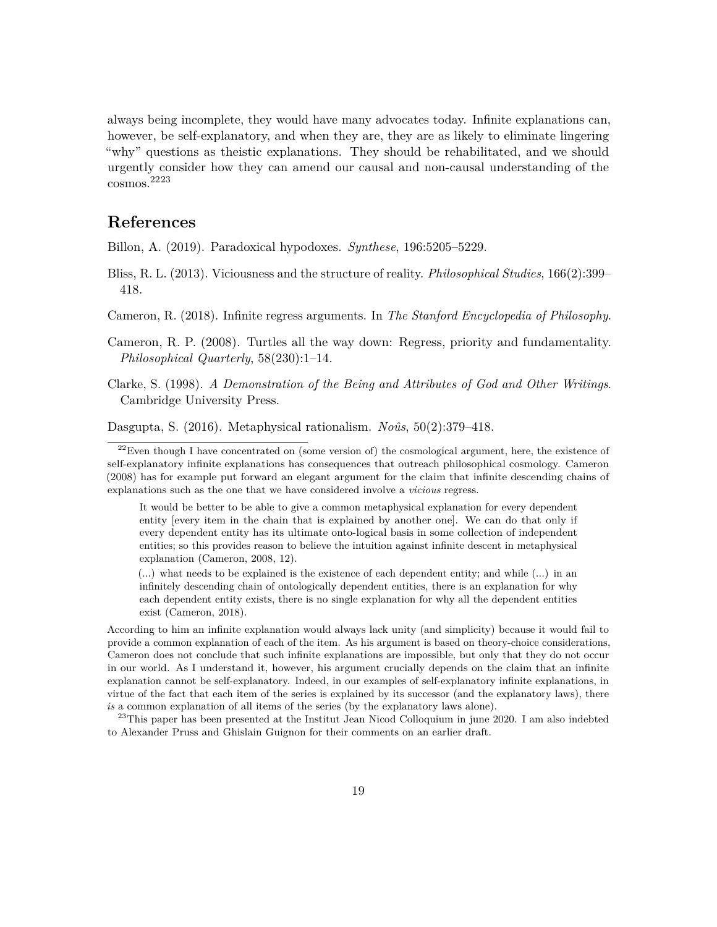always being incomplete, they would have many advocates today. Infinite explanations can, however, be self-explanatory, and when they are, they are as likely to eliminate lingering "why" questions as theistic explanations. They should be rehabilitated, and we should urgently consider how they can amend our causal and non-causal understanding of the cosmos.[22](#page-18-1)[23](#page-18-6)

#### **References**

<span id="page-18-5"></span>Billon, A. (2019). Paradoxical hypodoxes. *Synthese*, 196:5205–5229.

<span id="page-18-0"></span>Bliss, R. L. (2013). Viciousness and the structure of reality. *Philosophical Studies*, 166(2):399– 418.

<span id="page-18-7"></span>Cameron, R. (2018). Infinite regress arguments. In *The Stanford Encyclopedia of Philosophy*.

<span id="page-18-4"></span>Cameron, R. P. (2008). Turtles all the way down: Regress, priority and fundamentality. *Philosophical Quarterly*, 58(230):1–14.

<span id="page-18-2"></span>Clarke, S. (1998). *A Demonstration of the Being and Attributes of God and Other Writings*. Cambridge University Press.

<span id="page-18-3"></span>Dasgupta, S. (2016). Metaphysical rationalism. *Noûs*, 50(2):379–418.

It would be better to be able to give a common metaphysical explanation for every dependent entity [every item in the chain that is explained by another one]. We can do that only if every dependent entity has its ultimate onto-logical basis in some collection of independent entities; so this provides reason to believe the intuition against infinite descent in metaphysical explanation [\(Cameron, 2008,](#page-18-4) 12).

(...) what needs to be explained is the existence of each dependent entity; and while (...) in an infinitely descending chain of ontologically dependent entities, there is an explanation for why each dependent entity exists, there is no single explanation for why all the dependent entities exist [\(Cameron, 2018\)](#page-18-7).

According to him an infinite explanation would always lack unity (and simplicity) because it would fail to provide a common explanation of each of the item. As his argument is based on theory-choice considerations, Cameron does not conclude that such infinite explanations are impossible, but only that they do not occur in our world. As I understand it, however, his argument crucially depends on the claim that an infinite explanation cannot be self-explanatory. Indeed, in our examples of self-explanatory infinite explanations, in virtue of the fact that each item of the series is explained by its successor (and the explanatory laws), there *is* a common explanation of all items of the series (by the explanatory laws alone).

<span id="page-18-6"></span><sup>23</sup>This paper has been presented at the Institut Jean Nicod Colloquium in june 2020. I am also indebted to Alexander Pruss and Ghislain Guignon for their comments on an earlier draft.

<span id="page-18-1"></span> $^{22}$ Even though I have concentrated on (some version of) the cosmological argument, here, the existence of self-explanatory infinite explanations has consequences that outreach philosophical cosmology. [Cameron](#page-18-4) [\(2008\)](#page-18-4) has for example put forward an elegant argument for the claim that infinite descending chains of explanations such as the one that we have considered involve a *vicious* regress.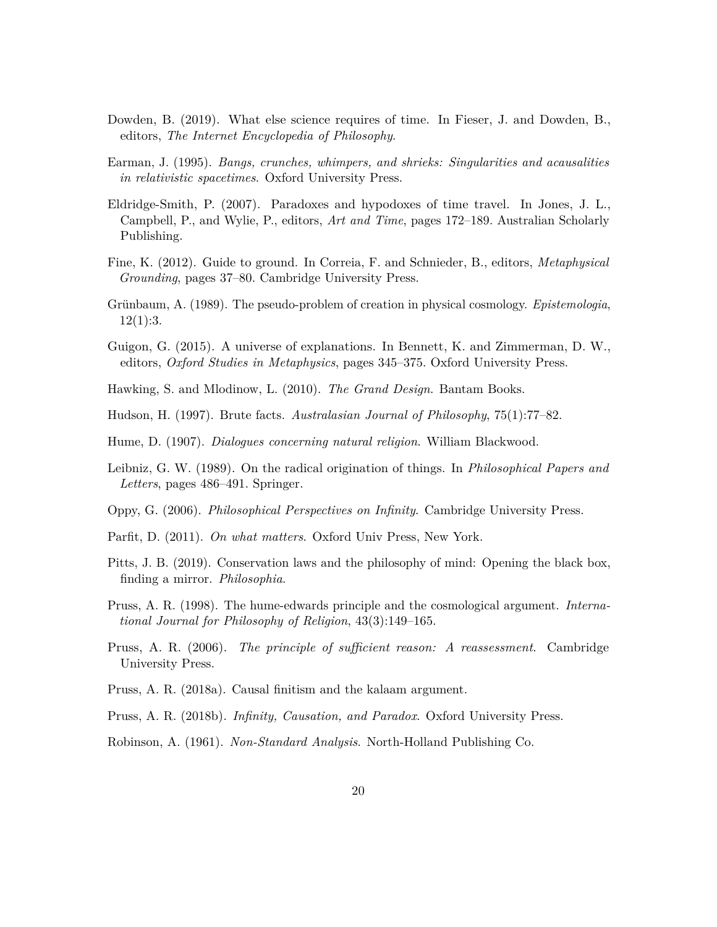- <span id="page-19-14"></span>Dowden, B. (2019). What else science requires of time. In Fieser, J. and Dowden, B., editors, *The Internet Encyclopedia of Philosophy*.
- <span id="page-19-13"></span>Earman, J. (1995). *Bangs, crunches, whimpers, and shrieks: Singularities and acausalities in relativistic spacetimes*. Oxford University Press.
- <span id="page-19-12"></span>Eldridge-Smith, P. (2007). Paradoxes and hypodoxes of time travel. In Jones, J. L., Campbell, P., and Wylie, P., editors, *Art and Time*, pages 172–189. Australian Scholarly Publishing.
- <span id="page-19-2"></span>Fine, K. (2012). Guide to ground. In Correia, F. and Schnieder, B., editors, *Metaphysical Grounding*, pages 37–80. Cambridge University Press.
- <span id="page-19-15"></span>Grünbaum, A. (1989). The pseudo-problem of creation in physical cosmology. *Epistemologia*,  $12(1):3.$
- <span id="page-19-4"></span>Guigon, G. (2015). A universe of explanations. In Bennett, K. and Zimmerman, D. W., editors, *Oxford Studies in Metaphysics*, pages 345–375. Oxford University Press.
- <span id="page-19-16"></span>Hawking, S. and Mlodinow, L. (2010). *The Grand Design*. Bantam Books.
- <span id="page-19-5"></span>Hudson, H. (1997). Brute facts. *Australasian Journal of Philosophy*, 75(1):77–82.
- <span id="page-19-8"></span>Hume, D. (1907). *Dialogues concerning natural religion*. William Blackwood.
- <span id="page-19-7"></span>Leibniz, G. W. (1989). On the radical origination of things. In *Philosophical Papers and Letters*, pages 486–491. Springer.
- <span id="page-19-3"></span>Oppy, G. (2006). *Philosophical Perspectives on Infinity*. Cambridge University Press.
- <span id="page-19-9"></span>Parfit, D. (2011). *On what matters*. Oxford Univ Press, New York.
- <span id="page-19-17"></span>Pitts, J. B. (2019). Conservation laws and the philosophy of mind: Opening the black box, finding a mirror. *Philosophia*.
- <span id="page-19-1"></span>Pruss, A. R. (1998). The hume-edwards principle and the cosmological argument. *International Journal for Philosophy of Religion*, 43(3):149–165.
- <span id="page-19-6"></span>Pruss, A. R. (2006). *The principle of sufficient reason: A reassessment*. Cambridge University Press.
- <span id="page-19-10"></span>Pruss, A. R. (2018a). Causal finitism and the kalaam argument.
- <span id="page-19-0"></span>Pruss, A. R. (2018b). *Infinity, Causation, and Paradox*. Oxford University Press.
- <span id="page-19-11"></span>Robinson, A. (1961). *Non-Standard Analysis*. North-Holland Publishing Co.